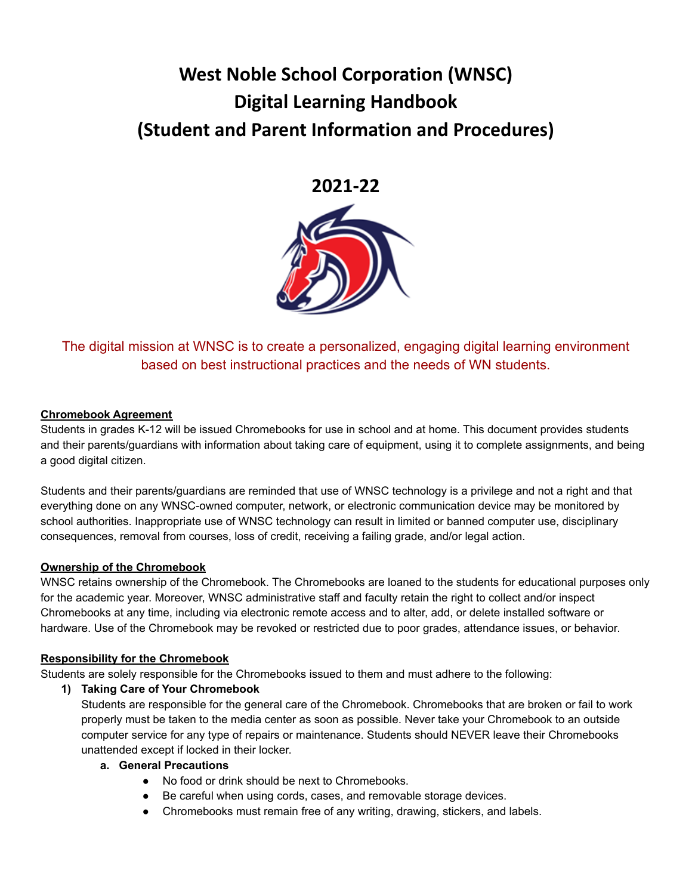# **West Noble School Corporation (WNSC) Digital Learning Handbook (Student and Parent Information and Procedures)**

## **2021-22**



The digital mission at WNSC is to create a personalized, engaging digital learning environment based on best instructional practices and the needs of WN students.

## **Chromebook Agreement**

Students in grades K-12 will be issued Chromebooks for use in school and at home. This document provides students and their parents/guardians with information about taking care of equipment, using it to complete assignments, and being a good digital citizen.

Students and their parents/guardians are reminded that use of WNSC technology is a privilege and not a right and that everything done on any WNSC-owned computer, network, or electronic communication device may be monitored by school authorities. Inappropriate use of WNSC technology can result in limited or banned computer use, disciplinary consequences, removal from courses, loss of credit, receiving a failing grade, and/or legal action.

## **Ownership of the Chromebook**

WNSC retains ownership of the Chromebook. The Chromebooks are loaned to the students for educational purposes only for the academic year. Moreover, WNSC administrative staff and faculty retain the right to collect and/or inspect Chromebooks at any time, including via electronic remote access and to alter, add, or delete installed software or hardware. Use of the Chromebook may be revoked or restricted due to poor grades, attendance issues, or behavior.

## **Responsibility for the Chromebook**

Students are solely responsible for the Chromebooks issued to them and must adhere to the following:

**1) Taking Care of Your Chromebook**

Students are responsible for the general care of the Chromebook. Chromebooks that are broken or fail to work properly must be taken to the media center as soon as possible. Never take your Chromebook to an outside computer service for any type of repairs or maintenance. Students should NEVER leave their Chromebooks unattended except if locked in their locker.

- **a. General Precautions**
	- No food or drink should be next to Chromebooks.
	- Be careful when using cords, cases, and removable storage devices.
	- Chromebooks must remain free of any writing, drawing, stickers, and labels.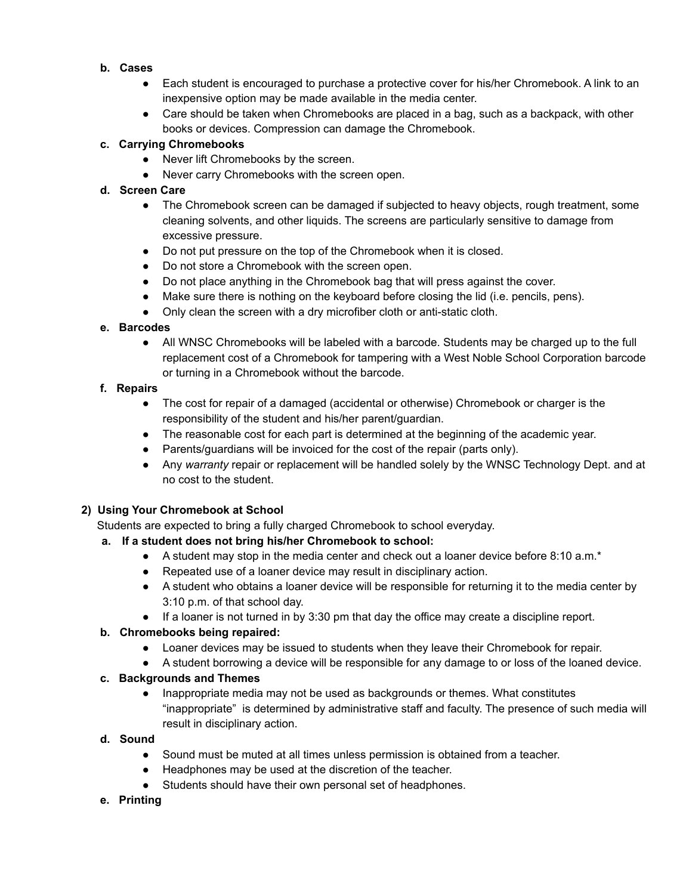## **b. Cases**

- Each student is encouraged to purchase a protective cover for his/her Chromebook. A link to an inexpensive option may be made available in the media center.
- Care should be taken when Chromebooks are placed in a bag, such as a backpack, with other books or devices. Compression can damage the Chromebook.

## **c. Carrying Chromebooks**

- Never lift Chromebooks by the screen.
- Never carry Chromebooks with the screen open.

## **d. Screen Care**

- The Chromebook screen can be damaged if subjected to heavy objects, rough treatment, some cleaning solvents, and other liquids. The screens are particularly sensitive to damage from excessive pressure.
- Do not put pressure on the top of the Chromebook when it is closed.
- Do not store a Chromebook with the screen open.
- Do not place anything in the Chromebook bag that will press against the cover.
- Make sure there is nothing on the keyboard before closing the lid (i.e. pencils, pens).
- Only clean the screen with a dry microfiber cloth or anti-static cloth.

## **e. Barcodes**

• All WNSC Chromebooks will be labeled with a barcode. Students may be charged up to the full replacement cost of a Chromebook for tampering with a West Noble School Corporation barcode or turning in a Chromebook without the barcode.

## **f. Repairs**

- The cost for repair of a damaged (accidental or otherwise) Chromebook or charger is the responsibility of the student and his/her parent/guardian.
- The reasonable cost for each part is determined at the beginning of the academic year.
- Parents/guardians will be invoiced for the cost of the repair (parts only).
- Any *warranty* repair or replacement will be handled solely by the WNSC Technology Dept. and at no cost to the student.

## **2) Using Your Chromebook at School**

Students are expected to bring a fully charged Chromebook to school everyday.

## **a. If a student does not bring his/her Chromebook to school:**

- $\bullet$  A student may stop in the media center and check out a loaner device before 8:10 a.m.\*
- Repeated use of a loaner device may result in disciplinary action.
- A student who obtains a loaner device will be responsible for returning it to the media center by 3:10 p.m. of that school day.
- If a loaner is not turned in by 3:30 pm that day the office may create a discipline report.

## **b. Chromebooks being repaired:**

- Loaner devices may be issued to students when they leave their Chromebook for repair.
- A student borrowing a device will be responsible for any damage to or loss of the loaned device.

## **c. Backgrounds and Themes**

● Inappropriate media may not be used as backgrounds or themes. What constitutes "inappropriate" is determined by administrative staff and faculty. The presence of such media will result in disciplinary action.

## **d. Sound**

- Sound must be muted at all times unless permission is obtained from a teacher.
- Headphones may be used at the discretion of the teacher.
- Students should have their own personal set of headphones.

## **e. Printing**